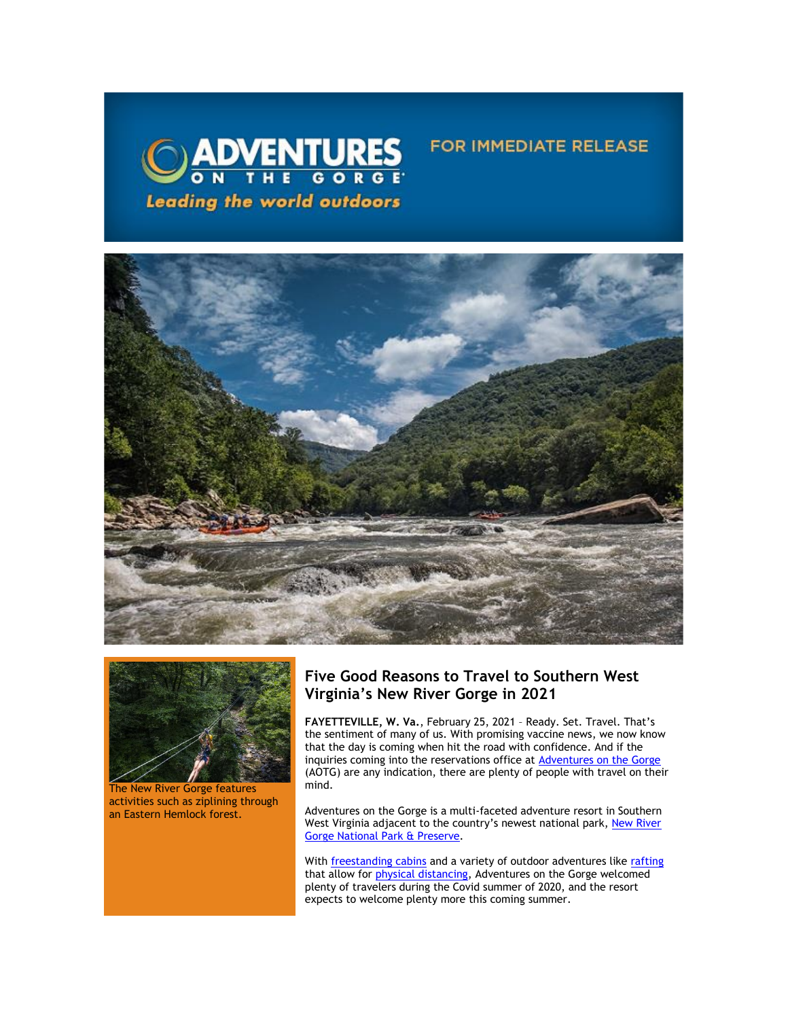



The New River Gorge features activities such as ziplining through an Eastern Hemlock forest.

# **Five Good Reasons to Travel to Southern West Virginia's New River Gorge in 2021**

**FOR IMMEDIATE RELEASE** 

**FAYETTEVILLE, W. Va.**, February 25, 2021 – Ready. Set. Travel. That's the sentiment of many of us. With promising vaccine news, we now know that the day is coming when hit the road with confidence. And if the inquiries coming into the reservations office at [Adventures on the Gorge](https://click.icptrack.com/icp/relay.php?r=13440961&msgid=472095&act=3SPQ&c=1378153&destination=http%3A%2F%2Fwww.adventuresonthegorge.com%2F&cf=13608&v=5a6d29c5bd89500c6946838c97b8849561ebbd48dbb2fdae9fe0068cb3f8e60e) (AOTG) are any indication, there are plenty of people with travel on their mind.

Adventures on the Gorge is a multi-faceted adventure resort in Southern West Virginia adjacent to the country's newest national park, New River [Gorge National Park & Preserve.](https://click.icptrack.com/icp/relay.php?r=13440961&msgid=472095&act=3SPQ&c=1378153&destination=https%3A%2F%2Fwww.nps.gov%2Fneri%2Findex.htm&cf=13608&v=7a55c2f9fbd36050fd920611b4f9f5233236fe343627cd8afd59cdc1b46b572d)

With **[freestanding cabins](https://click.icptrack.com/icp/relay.php?r=13440961&msgid=472095&act=3SPQ&c=1378153&destination=https%3A%2F%2Fadventuresonthegorge.com%2Flodging%2F&cf=13608&v=a0a1ec07ee637c78242d3333295573a8e337130c936224b8e1d32f73fd9e88eb)** and a variety of outdoor adventures like [rafting](https://click.icptrack.com/icp/relay.php?r=13440961&msgid=472095&act=3SPQ&c=1378153&destination=https%3A%2F%2Fadventuresonthegorge.com%2Frafting-2%2F&cf=13608&v=805f375ed879bb6278312ad5ed62d754ceba838af7a68c81132990a634bb90d2) that allow for *physical distancing*, Adventures on the Gorge welcomed plenty of travelers during the Covid summer of 2020, and the resort expects to welcome plenty more this coming summer.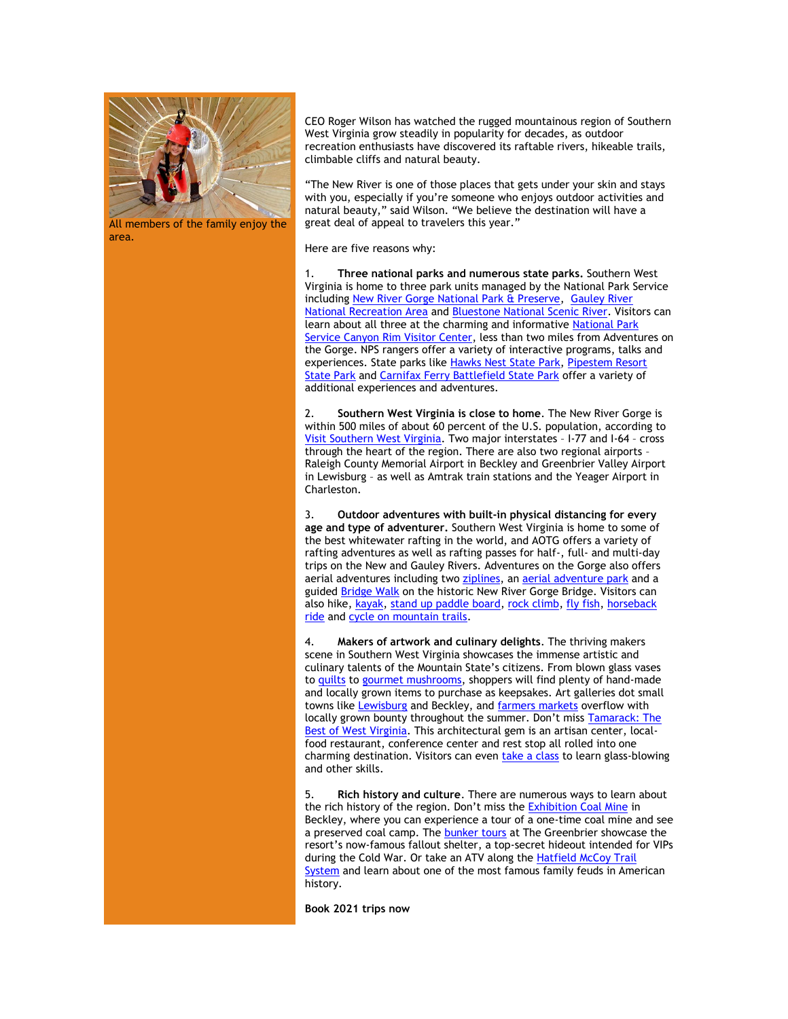

All members of the family enjoy the area.

CEO Roger Wilson has watched the rugged mountainous region of Southern West Virginia grow steadily in popularity for decades, as outdoor recreation enthusiasts have discovered its raftable rivers, hikeable trails, climbable cliffs and natural beauty.

"The New River is one of those places that gets under your skin and stays with you, especially if you're someone who enjoys outdoor activities and natural beauty," said Wilson. "We believe the destination will have a great deal of appeal to travelers this year."

Here are five reasons why:

1. **[Three national parks](https://click.icptrack.com/icp/relay.php?r=13440961&msgid=472095&act=3SPQ&c=1378153&destination=https%3A%2F%2Fvisitwv.com%2Fnpswv%2F&cf=13608&v=9464ddd362b30d2b8b4ab19534330e3c3825f6a4ece6d72cbb7099cd4733e0ef) and [numerous state parks.](https://click.icptrack.com/icp/relay.php?r=13440961&msgid=472095&act=3SPQ&c=1378153&destination=https%3A%2F%2Fvisitwv.com%2Fthings-to-see%2Fparks%2Fwest-virginia-state-parks%2F&cf=13608&v=476ebe9949483d137dd25789a8821f32f72101fc227ab619e7c9cc96e1b06046)** Southern West Virginia is home to three park units managed by the National Park Service including [New River Gorge National Park & Preserve,](https://click.icptrack.com/icp/relay.php?r=13440961&msgid=472095&act=3SPQ&c=1378153&destination=https%3A%2F%2Fwww.nps.gov%2Fneri%2Findex.htm&cf=13608&v=7a55c2f9fbd36050fd920611b4f9f5233236fe343627cd8afd59cdc1b46b572d) [Gauley River](https://click.icptrack.com/icp/relay.php?r=13440961&msgid=472095&act=3SPQ&c=1378153&destination=https%3A%2F%2Fwww.nps.gov%2Fgari%2Findex.htm&cf=13608&v=239dc89fb0a2870b477500639df3f99f76f392416f5304ea4f6636306e57a749)  [National Recreation Area](https://click.icptrack.com/icp/relay.php?r=13440961&msgid=472095&act=3SPQ&c=1378153&destination=https%3A%2F%2Fwww.nps.gov%2Fgari%2Findex.htm&cf=13608&v=239dc89fb0a2870b477500639df3f99f76f392416f5304ea4f6636306e57a749) and [Bluestone National Scenic River.](https://click.icptrack.com/icp/relay.php?r=13440961&msgid=472095&act=3SPQ&c=1378153&destination=https%3A%2F%2Fwww.nps.gov%2Fblue%2Findex.htm&cf=13608&v=8c0fea4334681c54a9d8f9cf113e5755733f3565e6673529d051865ecf6d63fc) Visitors can learn about all three at the charming and informative [National Park](https://click.icptrack.com/icp/relay.php?r=13440961&msgid=472095&act=3SPQ&c=1378153&destination=https%3A%2F%2Fwww.nps.gov%2Fneri%2Fplanyourvisit%2Fcrvc.htm&cf=13608&v=f5845c13bbc110c016f90a2a64c7ef4da8482c73393bd81158f7436b799ac1bc)  [Service Canyon Rim Visitor Center,](https://click.icptrack.com/icp/relay.php?r=13440961&msgid=472095&act=3SPQ&c=1378153&destination=https%3A%2F%2Fwww.nps.gov%2Fneri%2Fplanyourvisit%2Fcrvc.htm&cf=13608&v=f5845c13bbc110c016f90a2a64c7ef4da8482c73393bd81158f7436b799ac1bc) less than two miles from Adventures on the Gorge. NPS rangers offer a variety of interactive programs, talks and experiences. State parks like [Hawks Nest State Park,](https://click.icptrack.com/icp/relay.php?r=13440961&msgid=472095&act=3SPQ&c=1378153&destination=https%3A%2F%2Fvisitwv.com%2Fcompany%2Fhawks-nest-state-park%2F&cf=13608&v=eda79c3fcd02dd62976a13a64a010f8cf5e85a4e174c6126630498ea70e0a70f) [Pipestem Resort](https://click.icptrack.com/icp/relay.php?r=13440961&msgid=472095&act=3SPQ&c=1378153&destination=https%3A%2F%2Fwvstateparks.com%2Fpark%2Fpipestem-resort-state-park%2F&cf=13608&v=3d83cfd6f5deaf1d6986ab37068bc4d1f1bfda2fe6a8befb72c90762b3255c98)  [State Park](https://click.icptrack.com/icp/relay.php?r=13440961&msgid=472095&act=3SPQ&c=1378153&destination=https%3A%2F%2Fwvstateparks.com%2Fpark%2Fpipestem-resort-state-park%2F&cf=13608&v=3d83cfd6f5deaf1d6986ab37068bc4d1f1bfda2fe6a8befb72c90762b3255c98) and [Carnifax Ferry Battlefield State Park](https://click.icptrack.com/icp/relay.php?r=13440961&msgid=472095&act=3SPQ&c=1378153&destination=https%3A%2F%2Fvisitwv.com%2Fcompany%2Fcarnifex-ferry-battlefield-state-park%2F&cf=13608&v=20834ac0d3da533909ad0c4806123cf3733c9c8a3b020eff619e95d34d32c3fa) offer a variety of additional experiences and adventures.

2. **Southern West Virginia is close to home**. The New River Gorge is within 500 miles of about 60 percent of the U.S. population, according to [Visit Southern West Virginia.](https://click.icptrack.com/icp/relay.php?r=13440961&msgid=472095&act=3SPQ&c=1378153&destination=https%3A%2F%2Fvisitwv.com%2Ftrip-tools%2Fmeeting-planner%2F&cf=13608&v=78c551b0a56c4686aa6247885154ce23b7d75120d7a4d27f0a12d5e6119c523a) Two major interstates – I-77 and I-64 – cross through the heart of the region. There are also two regional airports – Raleigh County Memorial Airport in Beckley and Greenbrier Valley Airport in Lewisburg – as well as Amtrak train stations and the Yeager Airport in Charleston.

3. **Outdoor adventures with built-in physical distancing for every age and type of adventurer.** Southern West Virginia is home to some of the best whitewater rafting in the world, and AOTG offers a variety of rafting adventures as well as rafting passes for half-, full- and multi-day trips on the New and Gauley Rivers. Adventures on the Gorge also offers aerial adventures including two [ziplines,](https://click.icptrack.com/icp/relay.php?r=13440961&msgid=472095&act=3SPQ&c=1378153&destination=https%3A%2F%2Fadventuresonthegorge.com%2Fadventures%2Fzip-line-aerial-adventures%2Ftreetops-zip-line-canopy-tour%2F&cf=13608&v=d91862384dba58aa5469fc610fd0b748936bb315ce270c5a0c87f70bf4ea166c) an **[aerial adventure park](https://click.icptrack.com/icp/relay.php?r=13440961&msgid=472095&act=3SPQ&c=1378153&destination=https%3A%2F%2Fadventuresonthegorge.com%2Fadventures%2Fzip-line-aerial-adventures%2Ftimbertrek-adventure-park%2F&cf=13608&v=18ccc891771829c3d4c9e36973df56a6d0d839c635d665a6a43350403fdbaa88)** and a guided **[Bridge Walk](https://click.icptrack.com/icp/relay.php?r=13440961&msgid=472095&act=3SPQ&c=1378153&destination=https%3A%2F%2Fadventuresonthegorge.com%2Fadventures%2Fzip-line-aerial-adventures%2Fbridge-walk%2F&cf=13608&v=435dd7ef93b7a5ec1673b04382975af02f4cd97e1ef62cab683c9a525c7ed4a2)** on the historic New River Gorge Bridge. Visitors can also hike, [kayak,](https://click.icptrack.com/icp/relay.php?r=13440961&msgid=472095&act=3SPQ&c=1378153&destination=https%3A%2F%2Fadventuresonthegorge.com%2Fadventures%2Fkayaking%2Flearn-kayak%2F&cf=13608&v=fa8045cc8474116661300dd819d73df276e1b9bc92e7357fe7c5b5ab5d6323ae) [stand up paddle board,](https://click.icptrack.com/icp/relay.php?r=13440961&msgid=472095&act=3SPQ&c=1378153&destination=https%3A%2F%2Fadventuresonthegorge.com%2Fadventures%2Fstand-up-paddleboarding%2Fhalf-day-sup%2F&cf=13608&v=036ff7131a9624ed2c61391bed1b53af6d24d09d077170573b723ce80a66527f) [rock climb,](https://click.icptrack.com/icp/relay.php?r=13440961&msgid=472095&act=3SPQ&c=1378153&destination=https%3A%2F%2Fadventuresonthegorge.com%2Fadventures%2Fclimbing-rappelling%2Fhalf-day-climbing-rappelling%2F&cf=13608&v=ad33cd8f9ac55a06fb4e2dc730db3a4280ac1663a88e057606f2b54b30e76cf9) [fly fish,](https://click.icptrack.com/icp/relay.php?r=13440961&msgid=472095&act=3SPQ&c=1378153&destination=https%3A%2F%2Fadventuresonthegorge.com%2Fadventures%2Ffishing%2Ffloat-fishing-half-day-trip%2F&cf=13608&v=e9a259bf44a7a4f920fe480b4c67a4fd57398debced2868eb22b49d773bbc8b0) [horseback](https://click.icptrack.com/icp/relay.php?r=13440961&msgid=472095&act=3SPQ&c=1378153&destination=https%3A%2F%2Fadventuresonthegorge.com%2Fadventures%2Fhorseback-riding%2Fhalf-day-trail-ride%2F&cf=13608&v=b35f061258347f871bc6d7e745e2e2b5a5d40e077ca291f5c2bee74f691bbece)  [ride](https://click.icptrack.com/icp/relay.php?r=13440961&msgid=472095&act=3SPQ&c=1378153&destination=https%3A%2F%2Fadventuresonthegorge.com%2Fadventures%2Fhorseback-riding%2Fhalf-day-trail-ride%2F&cf=13608&v=b35f061258347f871bc6d7e745e2e2b5a5d40e077ca291f5c2bee74f691bbece) and [cycle on mountain trails.](https://click.icptrack.com/icp/relay.php?r=13440961&msgid=472095&act=3SPQ&c=1378153&destination=https%3A%2F%2Fadventuresonthegorge.com%2Fadventures%2Fmountain-biking%2Ftwo-hour-guided-mountain-biking%2F&cf=13608&v=3753d9865add7f0c007fe1e95e8154ce62557a25ee7cf061c0cff9213ab5bcd2)

4. **[Makers](https://click.icptrack.com/icp/relay.php?r=13440961&msgid=472095&act=3SPQ&c=1378153&destination=https%3A%2F%2Fvisitwv.com%2Fthings-to-do%2Fshopping%2F&cf=13608&v=4f2db1b1bee87d860ccf9f12ca76a94c643d396a55023ede10f57d705e3f30f2) of artwork and culinary delights**. The thriving makers scene in Southern West Virginia showcases the immense artistic and culinary talents of the Mountain State's citizens. From blown glass vases to [quilts](https://click.icptrack.com/icp/relay.php?r=13440961&msgid=472095&act=3SPQ&c=1378153&destination=https%3A%2F%2Fvisitwv.com%2Fquilts%2F&cf=13608&v=14316ab18b499e7a49910936ee61e77fa99547f7ec728147ee5ceb343c609405) to [gourmet mushrooms,](https://click.icptrack.com/icp/relay.php?r=13440961&msgid=472095&act=3SPQ&c=1378153&destination=https%3A%2F%2Fwww.hernshawfarms.com%2F&cf=13608&v=3b5a848b6137e8804a2e3405f188e37bbac0ff94ca58307847132b1c872ea63a) shoppers will find plenty of hand-made and locally grown items to purchase as keepsakes. Art galleries dot small towns like [Lewisburg](https://click.icptrack.com/icp/relay.php?r=13440961&msgid=472095&act=3SPQ&c=1378153&destination=https%3A%2F%2Fgreenbrierwv.com%2F&cf=13608&v=737d291dd0945ef030c0bbab2aaff9829289ed3b90b71d2e523d8f6a3aea9966) and Beckley, and [farmers markets](https://click.icptrack.com/icp/relay.php?r=13440961&msgid=472095&act=3SPQ&c=1378153&destination=https%3A%2F%2Fvisitwv.com%2Fthings-to-do%2Ffarmers-and-flea-markets%2F&cf=13608&v=b831a5ff6a487cf1ff5a80a174efc4f36f21601142d714051adeb408b069ddc1) overflow with locally grown bounty throughout the summer. Don't miss **Tamarack: The** [Best of West Virginia.](https://click.icptrack.com/icp/relay.php?r=13440961&msgid=472095&act=3SPQ&c=1378153&destination=https%3A%2F%2Fvisitwv.com%2Fcompany%2Ftamarack-the-best-of-west-virginia%2F&cf=13608&v=06755d299dd5047ad6059173e3a41dfc04d4efe58d50bc164e750f6f4fce54a5) This architectural gem is an artisan center, localfood restaurant, conference center and rest stop all rolled into one charming destination. Visitors can even [take a class](https://click.icptrack.com/icp/relay.php?r=13440961&msgid=472095&act=3SPQ&c=1378153&destination=https%3A%2F%2Fwww.tamarackwv.com%2Fhands-on%2F&cf=13608&v=39d20f4472dc73a015828914cc3628cd5df5f0b13c82c1d0c105c687f9b64ad8) to learn glass-blowing and other skills.

5. **Rich [history and culture](https://click.icptrack.com/icp/relay.php?r=13440961&msgid=472095&act=3SPQ&c=1378153&destination=https%3A%2F%2Fvisitwv.com%2Fthings-to-see%2Fhistory-heritage%2F&cf=13608&v=273bdde9ea8d1c7d6be18646521c136fd8fe1081e67f635372371d526fd5f82a)**. There are numerous ways to learn about the rich history of the region. Don't miss the **[Exhibition Coal Mine](https://click.icptrack.com/icp/relay.php?r=13440961&msgid=472095&act=3SPQ&c=1378153&destination=https%3A%2F%2Fvisitwv.com%2Fcompany%2Fbeckley-exhibition-coal-mine%2F&cf=13608&v=4277969fba2db76f4ed88438b36db46095fb4083daeacbe0e01feffc366584a0)** in Beckley, where you can experience a tour of a one-time coal mine and see a preserved coal camp. The [bunker tours](https://click.icptrack.com/icp/relay.php?r=13440961&msgid=472095&act=3SPQ&c=1378153&destination=https%3A%2F%2Fwww.greenbrier.com%2FActivities-Events%2FBunker-Tours-%2810%29.aspx&cf=13608&v=78778c6a9584f1f6363b66c6176e3b9ff7ceb4369de15b1ca60df112a4a393f2) at The Greenbrier showcase the resort's now-famous fallout shelter, a top-secret hideout intended for VIPs during the Cold War. Or take an ATV along the [Hatfield McCoy Trail](https://click.icptrack.com/icp/relay.php?r=13440961&msgid=472095&act=3SPQ&c=1378153&destination=https%3A%2F%2Ftrailsheaven.com%2F&cf=13608&v=6fa74ad15417c77cd7a55c2b8c27489b729a6b9ea749c34e55f6ceac3bef9a92)  [System](https://click.icptrack.com/icp/relay.php?r=13440961&msgid=472095&act=3SPQ&c=1378153&destination=https%3A%2F%2Ftrailsheaven.com%2F&cf=13608&v=6fa74ad15417c77cd7a55c2b8c27489b729a6b9ea749c34e55f6ceac3bef9a92) and learn about one of the most famous family feuds in American history.

**Book 2021 trips now**